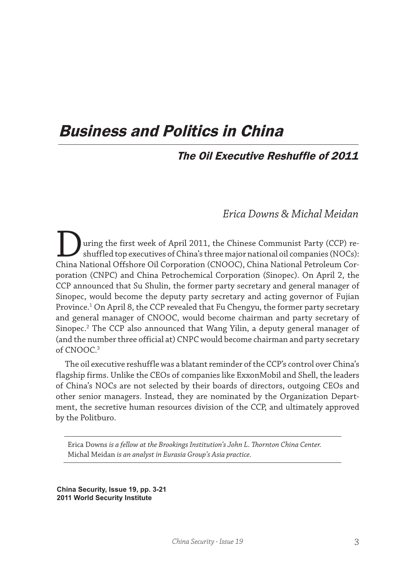# Business and Politics in China

# The Oil Executive Reshuffle of 2011

# *Erica Downs & Michal Meidan*

uring the first week of April 2011, the Chinese Communist Party (CCP) reshuffled top executives of China's three major national oil companies (NOCs): China National Offshore Oil Corporation (CNOOC), China National Petroleum Corporation (CNPC) and China Petrochemical Corporation (Sinopec). On April 2, the CCP announced that Su Shulin, the former party secretary and general manager of Sinopec, would become the deputy party secretary and acting governor of Fujian Province.1 On April 8, the CCP revealed that Fu Chengyu, the former party secretary and general manager of CNOOC, would become chairman and party secretary of Sinopec.2 The CCP also announced that Wang Yilin, a deputy general manager of (and the number three official at) CNPC would become chairman and party secretary of CNOOC.3

The oil executive reshuffle was a blatant reminder of the CCP's control over China's flagship firms. Unlike the CEOs of companies like ExxonMobil and Shell, the leaders of China's NOCs are not selected by their boards of directors, outgoing CEOs and other senior managers. Instead, they are nominated by the Organization Department, the secretive human resources division of the CCP, and ultimately approved by the Politburo.

Erica Downs *is a fellow at the Brookings Institution's John L. Thornton China Center.* Michal Meidan *is an analyst in Eurasia Group's Asia practice.*

**China Security, Issue 19, pp. 3-21 2011 World Security Institute**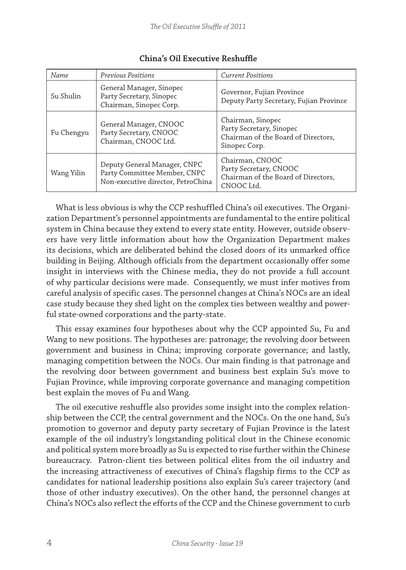| Name       | Previous Positions                                                                                 | <b>Current Positions</b>                                                                              |
|------------|----------------------------------------------------------------------------------------------------|-------------------------------------------------------------------------------------------------------|
| Su Shulin  | General Manager, Sinopec<br>Party Secretary, Sinopec<br>Chairman, Sinopec Corp.                    | Governor, Fujian Province<br>Deputy Party Secretary, Fujian Province                                  |
| Fu Chengyu | General Manager, CNOOC<br>Party Secretary, CNOOC<br>Chairman, CNOOC Ltd.                           | Chairman, Sinopec<br>Party Secretary, Sinopec<br>Chairman of the Board of Directors,<br>Sinopec Corp. |
| Wang Yilin | Deputy General Manager, CNPC<br>Party Committee Member, CNPC<br>Non-executive director, PetroChina | Chairman, CNOOC<br>Party Secretary, CNOOC<br>Chairman of the Board of Directors,<br>CNOOC Ltd.        |

#### **China's Oil Executive Reshuffle**

What is less obvious is why the CCP reshuffled China's oil executives. The Organization Department's personnel appointments are fundamental to the entire political system in China because they extend to every state entity. However, outside observers have very little information about how the Organization Department makes its decisions, which are deliberated behind the closed doors of its unmarked office building in Beijing. Although officials from the department occasionally offer some insight in interviews with the Chinese media, they do not provide a full account of why particular decisions were made. Consequently, we must infer motives from careful analysis of specific cases. The personnel changes at China's NOCs are an ideal case study because they shed light on the complex ties between wealthy and powerful state-owned corporations and the party-state.

This essay examines four hypotheses about why the CCP appointed Su, Fu and Wang to new positions. The hypotheses are: patronage; the revolving door between government and business in China; improving corporate governance; and lastly, managing competition between the NOCs. Our main finding is that patronage and the revolving door between government and business best explain Su's move to Fujian Province, while improving corporate governance and managing competition best explain the moves of Fu and Wang.

The oil executive reshuffle also provides some insight into the complex relationship between the CCP, the central government and the NOCs. On the one hand, Su's promotion to governor and deputy party secretary of Fujian Province is the latest example of the oil industry's longstanding political clout in the Chinese economic and political system more broadly as Su is expected to rise further within the Chinese bureaucracy. Patron-client ties between political elites from the oil industry and the increasing attractiveness of executives of China's flagship firms to the CCP as candidates for national leadership positions also explain Su's career trajectory (and those of other industry executives). On the other hand, the personnel changes at China's NOCs also reflect the efforts of the CCP and the Chinese government to curb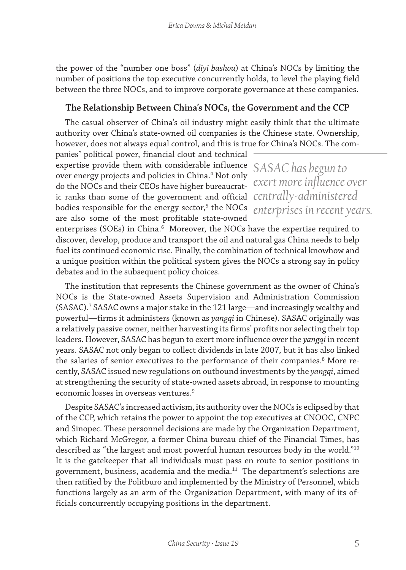the power of the "number one boss" (*diyi bashou*) at China's NOCs by limiting the number of positions the top executive concurrently holds, to level the playing field between the three NOCs, and to improve corporate governance at these companies.

#### **The Relationship Between China's NOCs, the Government and the CCP**

The casual observer of China's oil industry might easily think that the ultimate authority over China's state-owned oil companies is the Chinese state. Ownership, however, does not always equal control, and this is true for China's NOCs. The com-

panies' political power, financial clout and technical expertise provide them with considerable influence *SASAC has begun to*  over energy projects and policies in China.<sup>4</sup> Not only do the NOCs and their CEOs have higher bureaucrat-*exert more influence over*  ic ranks than some of the government and official *centrally-administered*  bodies responsible for the energy sector,<sup>5</sup> the NOCs enterprises in recent years. are also some of the most profitable state-owned

enterprises (SOEs) in China. $^6$  Moreover, the NOCs have the expertise required to discover, develop, produce and transport the oil and natural gas China needs to help fuel its continued economic rise. Finally, the combination of technical knowhow and a unique position within the political system gives the NOCs a strong say in policy debates and in the subsequent policy choices.

The institution that represents the Chinese government as the owner of China's NOCs is the State-owned Assets Supervision and Administration Commission (SASAC).7 SASAC owns a major stake in the 121 large—and increasingly wealthy and powerful—firms it administers (known as *yangqi* in Chinese). SASAC originally was a relatively passive owner, neither harvesting its firms' profits nor selecting their top leaders. However, SASAC has begun to exert more influence over the *yangqi* in recent years. SASAC not only began to collect dividends in late 2007, but it has also linked the salaries of senior executives to the performance of their companies.<sup>8</sup> More recently, SASAC issued new regulations on outbound investments by the *yangqi*, aimed at strengthening the security of state-owned assets abroad, in response to mounting economic losses in overseas ventures.<sup>9</sup>

Despite SASAC's increased activism, its authority over the NOCs is eclipsed by that of the CCP, which retains the power to appoint the top executives at CNOOC, CNPC and Sinopec. These personnel decisions are made by the Organization Department, which Richard McGregor, a former China bureau chief of the Financial Times, has described as "the largest and most powerful human resources body in the world."10 It is the gatekeeper that all individuals must pass en route to senior positions in government, business, academia and the media.11 The department's selections are then ratified by the Politburo and implemented by the Ministry of Personnel, which functions largely as an arm of the Organization Department, with many of its officials concurrently occupying positions in the department.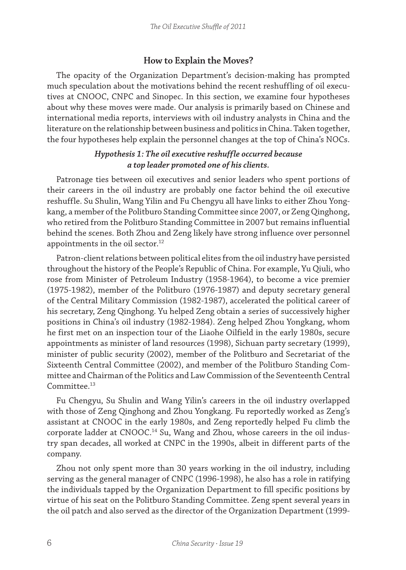#### **How to Explain the Moves?**

The opacity of the Organization Department's decision-making has prompted much speculation about the motivations behind the recent reshuffling of oil executives at CNOOC, CNPC and Sinopec. In this section, we examine four hypotheses about why these moves were made. Our analysis is primarily based on Chinese and international media reports, interviews with oil industry analysts in China and the literature on the relationship between business and politics in China. Taken together, the four hypotheses help explain the personnel changes at the top of China's NOCs.

## *Hypothesis 1: The oil executive reshuffle occurred because a top leader promoted one of his clients.*

Patronage ties between oil executives and senior leaders who spent portions of their careers in the oil industry are probably one factor behind the oil executive reshuffle. Su Shulin, Wang Yilin and Fu Chengyu all have links to either Zhou Yongkang, a member of the Politburo Standing Committee since 2007, or Zeng Qinghong, who retired from the Politburo Standing Committee in 2007 but remains influential behind the scenes. Both Zhou and Zeng likely have strong influence over personnel appointments in the oil sector.<sup>12</sup>

Patron-client relations between political elites from the oil industry have persisted throughout the history of the People's Republic of China. For example, Yu Qiuli, who rose from Minister of Petroleum Industry (1958-1964), to become a vice premier (1975-1982), member of the Politburo (1976-1987) and deputy secretary general of the Central Military Commission (1982-1987), accelerated the political career of his secretary, Zeng Qinghong. Yu helped Zeng obtain a series of successively higher positions in China's oil industry (1982-1984). Zeng helped Zhou Yongkang, whom he first met on an inspection tour of the Liaohe Oilfield in the early 1980s, secure appointments as minister of land resources (1998), Sichuan party secretary (1999), minister of public security (2002), member of the Politburo and Secretariat of the Sixteenth Central Committee (2002), and member of the Politburo Standing Committee and Chairman of the Politics and Law Commission of the Seventeenth Central Committee.<sup>13</sup>

Fu Chengyu, Su Shulin and Wang Yilin's careers in the oil industry overlapped with those of Zeng Qinghong and Zhou Yongkang. Fu reportedly worked as Zeng's assistant at CNOOC in the early 1980s, and Zeng reportedly helped Fu climb the corporate ladder at CNOOC.<sup>14</sup> Su, Wang and Zhou, whose careers in the oil industry span decades, all worked at CNPC in the 1990s, albeit in different parts of the company.

Zhou not only spent more than 30 years working in the oil industry, including serving as the general manager of CNPC (1996-1998), he also has a role in ratifying the individuals tapped by the Organization Department to fill specific positions by virtue of his seat on the Politburo Standing Committee. Zeng spent several years in the oil patch and also served as the director of the Organization Department (1999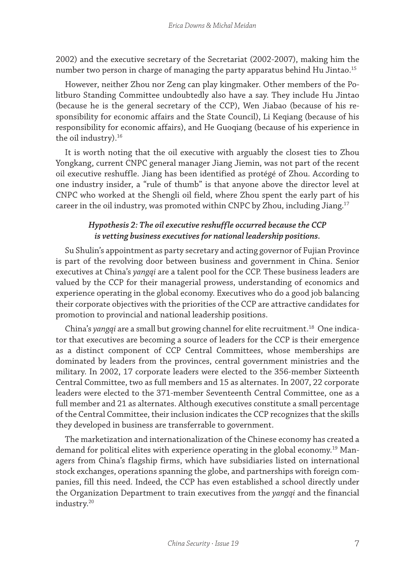2002) and the executive secretary of the Secretariat (2002-2007), making him the number two person in charge of managing the party apparatus behind Hu Jintao.<sup>15</sup>

However, neither Zhou nor Zeng can play kingmaker. Other members of the Politburo Standing Committee undoubtedly also have a say. They include Hu Jintao (because he is the general secretary of the CCP), Wen Jiabao (because of his responsibility for economic affairs and the State Council), Li Keqiang (because of his responsibility for economic affairs), and He Guoqiang (because of his experience in the oil industry).<sup>16</sup>

It is worth noting that the oil executive with arguably the closest ties to Zhou Yongkang, current CNPC general manager Jiang Jiemin, was not part of the recent oil executive reshuffle. Jiang has been identified as protégé of Zhou. According to one industry insider, a "rule of thumb" is that anyone above the director level at CNPC who worked at the Shengli oil field, where Zhou spent the early part of his career in the oil industry, was promoted within CNPC by Zhou, including Jiang.<sup>17</sup>

## *Hypothesis 2: The oil executive reshuffle occurred because the CCP is vetting business executives for national leadership positions.*

Su Shulin's appointment as party secretary and acting governor of Fujian Province is part of the revolving door between business and government in China. Senior executives at China's *yangqi* are a talent pool for the CCP. These business leaders are valued by the CCP for their managerial prowess, understanding of economics and experience operating in the global economy. Executives who do a good job balancing their corporate objectives with the priorities of the CCP are attractive candidates for promotion to provincial and national leadership positions.

China's *yangqi* are a small but growing channel for elite recruitment.18 One indicator that executives are becoming a source of leaders for the CCP is their emergence as a distinct component of CCP Central Committees, whose memberships are dominated by leaders from the provinces, central government ministries and the military. In 2002, 17 corporate leaders were elected to the 356-member Sixteenth Central Committee, two as full members and 15 as alternates. In 2007, 22 corporate leaders were elected to the 371-member Seventeenth Central Committee, one as a full member and 21 as alternates. Although executives constitute a small percentage of the Central Committee, their inclusion indicates the CCP recognizes that the skills they developed in business are transferrable to government.

The marketization and internationalization of the Chinese economy has created a demand for political elites with experience operating in the global economy.19 Managers from China's flagship firms, which have subsidiaries listed on international stock exchanges, operations spanning the globe, and partnerships with foreign companies, fill this need. Indeed, the CCP has even established a school directly under the Organization Department to train executives from the *yangqi* and the financial industry.20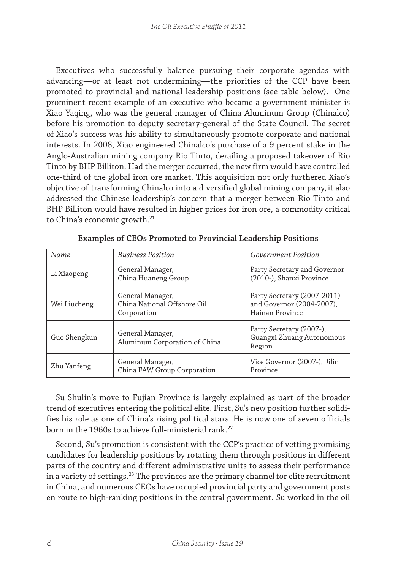Executives who successfully balance pursuing their corporate agendas with advancing—or at least not undermining—the priorities of the CCP have been promoted to provincial and national leadership positions (see table below). One prominent recent example of an executive who became a government minister is Xiao Yaqing, who was the general manager of China Aluminum Group (Chinalco) before his promotion to deputy secretary-general of the State Council. The secret of Xiao's success was his ability to simultaneously promote corporate and national interests. In 2008, Xiao engineered Chinalco's purchase of a 9 percent stake in the Anglo-Australian mining company Rio Tinto, derailing a proposed takeover of Rio Tinto by BHP Billiton. Had the merger occurred, the new firm would have controlled one-third of the global iron ore market. This acquisition not only furthered Xiao's objective of transforming Chinalco into a diversified global mining company, it also addressed the Chinese leadership's concern that a merger between Rio Tinto and BHP Billiton would have resulted in higher prices for iron ore, a commodity critical to China's economic growth.<sup>21</sup>

| Name                                                           | <b>Business Position</b><br><i>Government Position</i>         |                                                                             |
|----------------------------------------------------------------|----------------------------------------------------------------|-----------------------------------------------------------------------------|
| Li Xiaopeng                                                    | General Manager,<br>China Huaneng Group                        | Party Secretary and Governor<br>(2010-), Shanxi Province                    |
| Wei Liucheng                                                   | General Manager,<br>China National Offshore Oil<br>Corporation | Party Secretary (2007-2011)<br>and Governor (2004-2007),<br>Hainan Province |
| Guo Shengkun                                                   | General Manager,<br>Aluminum Corporation of China              | Party Secretary (2007-),<br>Guangxi Zhuang Autonomous<br>Region             |
| General Manager,<br>Zhu Yanfeng<br>China FAW Group Corporation |                                                                | Vice Governor (2007-), Jilin<br>Province                                    |

**Examples of CEOs Promoted to Provincial Leadership Positions**

Su Shulin's move to Fujian Province is largely explained as part of the broader trend of executives entering the political elite. First, Su's new position further solidifies his role as one of China's rising political stars. He is now one of seven officials born in the 1960s to achieve full-ministerial rank.<sup>22</sup>

Second, Su's promotion is consistent with the CCP's practice of vetting promising candidates for leadership positions by rotating them through positions in different parts of the country and different administrative units to assess their performance in a variety of settings.<sup>23</sup> The provinces are the primary channel for elite recruitment in China, and numerous CEOs have occupied provincial party and government posts en route to high-ranking positions in the central government. Su worked in the oil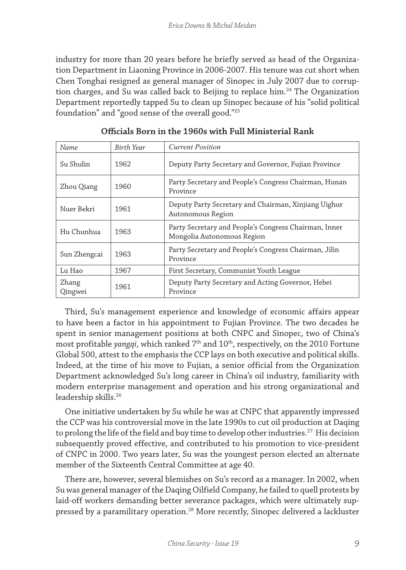industry for more than 20 years before he briefly served as head of the Organization Department in Liaoning Province in 2006-2007. His tenure was cut short when Chen Tonghai resigned as general manager of Sinopec in July 2007 due to corruption charges, and Su was called back to Beijing to replace him.<sup>24</sup> The Organization Department reportedly tapped Su to clean up Sinopec because of his "solid political foundation" and "good sense of the overall good."25

| Name             | <b>Birth Year</b> | <b>Current Position</b>                                                             |
|------------------|-------------------|-------------------------------------------------------------------------------------|
| Su Shulin        | 1962              | Deputy Party Secretary and Governor, Fujian Province                                |
| Zhou Qiang       | 1960              | Party Secretary and People's Congress Chairman, Hunan<br>Province                   |
| Nuer Bekri       | 1961              | Deputy Party Secretary and Chairman, Xinjiang Uighur<br>Autonomous Region           |
| Hu Chunhua       | 1963              | Party Secretary and People's Congress Chairman, Inner<br>Mongolia Autonomous Region |
| Sun Zhengcai     | 1963              | Party Secretary and People's Congress Chairman, Jilin<br>Province                   |
| Lu Hao           | 1967              | First Secretary, Communist Youth League                                             |
| Zhang<br>Qingwei | 1961              | Deputy Party Secretary and Acting Governor, Hebei<br>Province                       |

**Officials Born in the 1960s with Full Ministerial Rank**

Third, Su's management experience and knowledge of economic affairs appear to have been a factor in his appointment to Fujian Province. The two decades he spent in senior management positions at both CNPC and Sinopec, two of China's most profitable *yangqi*, which ranked 7th and 10th, respectively, on the 2010 Fortune Global 500, attest to the emphasis the CCP lays on both executive and political skills. Indeed, at the time of his move to Fujian, a senior official from the Organization Department acknowledged Su's long career in China's oil industry, familiarity with modern enterprise management and operation and his strong organizational and leadership skills.<sup>26</sup>

One initiative undertaken by Su while he was at CNPC that apparently impressed the CCP was his controversial move in the late 1990s to cut oil production at Daqing to prolong the life of the field and buy time to develop other industries.<sup>27</sup> His decision subsequently proved effective, and contributed to his promotion to vice-president of CNPC in 2000. Two years later, Su was the youngest person elected an alternate member of the Sixteenth Central Committee at age 40.

There are, however, several blemishes on Su's record as a manager. In 2002, when Su was general manager of the Daqing Oilfield Company, he failed to quell protests by laid-off workers demanding better severance packages, which were ultimately suppressed by a paramilitary operation.28 More recently, Sinopec delivered a lackluster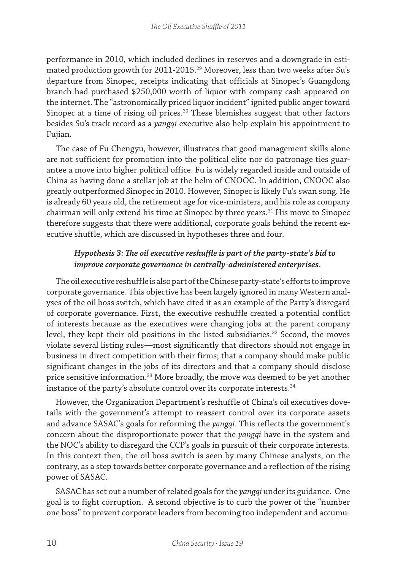performance in 2010, which included declines in reserves and a downgrade in estimated production growth for 2011-2015.<sup>29</sup> Moreover, less than two weeks after Su's departure from Sinopec, receipts indicating that officials at Sinopec's Guangdong branch had purchased \$250,000 worth of liquor with company cash appeared on the internet. The "astronomically priced liquor incident" ignited public anger toward Sinopec at a time of rising oil prices.<sup>30</sup> These blemishes suggest that other factors besides Su's track record as a *yangqi* executive also help explain his appointment to Fujian.

The case of Fu Chengyu, however, illustrates that good management skills alone are not sufficient for promotion into the political elite nor do patronage ties guarantee a move into higher political office. Fu is widely regarded inside and outside of China as having done a stellar job at the helm of CNOOC. In addition, CNOOC also greatly outperformed Sinopec in 2010. However, Sinopec is likely Fu's swan song. He is already 60 years old, the retirement age for vice-ministers, and his role as company chairman will only extend his time at Sinopec by three years.31 His move to Sinopec therefore suggests that there were additional, corporate goals behind the recent executive shuffle, which are discussed in hypotheses three and four.

## *Hypothesis 3: The oil executive reshuffle is part of the party-state's bid to improve corporate governance in centrally-administered enterprises.*

The oil executive reshuffle is also part of the Chinese party-state's efforts to improve corporate governance. This objective has been largely ignored in many Western analyses of the oil boss switch, which have cited it as an example of the Party's disregard of corporate governance. First, the executive reshuffle created a potential conflict of interests because as the executives were changing jobs at the parent company level, they kept their old positions in the listed subsidiaries.<sup>32</sup> Second, the moves violate several listing rules—most significantly that directors should not engage in business in direct competition with their firms; that a company should make public significant changes in the jobs of its directors and that a company should disclose price sensitive information.33 More broadly, the move was deemed to be yet another instance of the party's absolute control over its corporate interests.<sup>34</sup>

However, the Organization Department's reshuffle of China's oil executives dovetails with the government's attempt to reassert control over its corporate assets and advance SASAC's goals for reforming the *yangqi*. This reflects the government's concern about the disproportionate power that the *yangqi* have in the system and the NOC's ability to disregard the CCP's goals in pursuit of their corporate interests. In this context then, the oil boss switch is seen by many Chinese analysts, on the contrary, as a step towards better corporate governance and a reflection of the rising power of SASAC.

SASAC has set out a number of related goals for the *yangqi* under its guidance. One goal is to fight corruption. A second objective is to curb the power of the "number one boss" to prevent corporate leaders from becoming too independent and accumu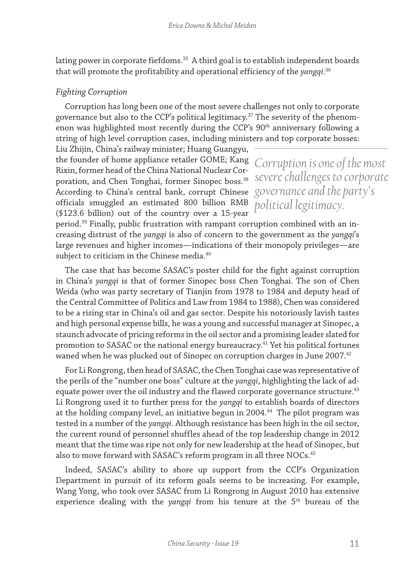lating power in corporate fiefdoms. $35$  A third goal is to establish independent boards that will promote the profitability and operational efficiency of the *yangqi*. 36

## *Fighting Corruption*

Corruption has long been one of the most severe challenges not only to corporate governance but also to the CCP's political legitimacy.<sup>37</sup> The severity of the phenomenon was highlighted most recently during the CCP's 90<sup>th</sup> anniversary following a string of high level corruption cases, including ministers and top corporate bosses:

Liu Zhijin, China's railway minister; Huang Guangyu, the founder of home appliance retailer GOME; Kang Rixin, former head of the China National Nuclear Corporation, and Chen Tonghai, former Sinopec boss.<sup>38</sup> According to China's central bank, corrupt Chinese officials smuggled an estimated 800 billion RMB (\$123.6 billion) out of the country over a 15-year

*Corruption is one of the most severe challenges to corporate governance and the party's political legitimacy.*

period.39 Finally, public frustration with rampant corruption combined with an increasing distrust of the *yangqi* is also of concern to the government as the *yangqi*'s large revenues and higher incomes—indications of their monopoly privileges—are subject to criticism in the Chinese media.<sup>40</sup>

The case that has become SASAC's poster child for the fight against corruption in China's *yangqi* is that of former Sinopec boss Chen Tonghai. The son of Chen Weida (who was party secretary of Tianjin from 1978 to 1984 and deputy head of the Central Committee of Politics and Law from 1984 to 1988), Chen was considered to be a rising star in China's oil and gas sector. Despite his notoriously lavish tastes and high personal expense bills, he was a young and successful manager at Sinopec, a staunch advocate of pricing reforms in the oil sector and a promising leader slated for promotion to SASAC or the national energy bureaucracy.<sup>41</sup> Yet his political fortunes waned when he was plucked out of Sinopec on corruption charges in June 2007.<sup>42</sup>

For Li Rongrong, then head of SASAC, the Chen Tonghai case was representative of the perils of the "number one boss" culture at the *yangqi*, highlighting the lack of adequate power over the oil industry and the flawed corporate governance structure. $43$ Li Rongrong used it to further press for the *yangqi* to establish boards of directors at the holding company level, an initiative begun in 2004.<sup>44</sup> The pilot program was tested in a number of the *yangqi*. Although resistance has been high in the oil sector, the current round of personnel shuffles ahead of the top leadership change in 2012 meant that the time was ripe not only for new leadership at the head of Sinopec, but also to move forward with SASAC's reform program in all three NOCs.<sup>45</sup>

Indeed, SASAC's ability to shore up support from the CCP's Organization Department in pursuit of its reform goals seems to be increasing. For example, Wang Yong, who took over SASAC from Li Rongrong in August 2010 has extensive experience dealing with the *yangqi* from his tenure at the 5<sup>th</sup> bureau of the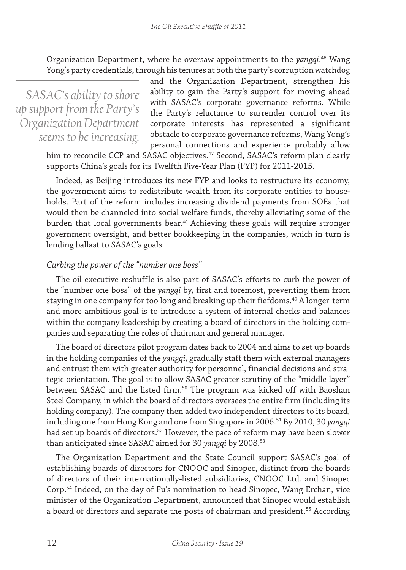Organization Department, where he oversaw appointments to the *yangqi*. 46 Wang Yong's party credentials, through his tenures at both the party's corruption watchdog

*SASAC's ability to shore up support from the Party's Organization Department seems to be increasing.*

and the Organization Department, strengthen his ability to gain the Party's support for moving ahead with SASAC's corporate governance reforms. While the Party's reluctance to surrender control over its corporate interests has represented a significant obstacle to corporate governance reforms, Wang Yong's personal connections and experience probably allow

him to reconcile CCP and SASAC objectives.<sup>47</sup> Second, SASAC's reform plan clearly supports China's goals for its Twelfth Five-Year Plan (FYP) for 2011-2015.

Indeed, as Beijing introduces its new FYP and looks to restructure its economy, the government aims to redistribute wealth from its corporate entities to households. Part of the reform includes increasing dividend payments from SOEs that would then be channeled into social welfare funds, thereby alleviating some of the burden that local governments bear.<sup>48</sup> Achieving these goals will require stronger government oversight, and better bookkeeping in the companies, which in turn is lending ballast to SASAC's goals.

#### *Curbing the power of the "number one boss"*

The oil executive reshuffle is also part of SASAC's efforts to curb the power of the "number one boss" of the *yangqi* by, first and foremost, preventing them from staying in one company for too long and breaking up their fiefdoms.49 A longer-term and more ambitious goal is to introduce a system of internal checks and balances within the company leadership by creating a board of directors in the holding companies and separating the roles of chairman and general manager.

The board of directors pilot program dates back to 2004 and aims to set up boards in the holding companies of the *yangqi*, gradually staff them with external managers and entrust them with greater authority for personnel, financial decisions and strategic orientation. The goal is to allow SASAC greater scrutiny of the "middle layer" between SASAC and the listed firm.<sup>50</sup> The program was kicked off with Baoshan Steel Company, in which the board of directors oversees the entire firm (including its holding company). The company then added two independent directors to its board, including one from Hong Kong and one from Singapore in 2006.51 By 2010, 30 *yangqi* had set up boards of directors.<sup>52</sup> However, the pace of reform may have been slower than anticipated since SASAC aimed for 30 *yangqi* by 2008.53

The Organization Department and the State Council support SASAC's goal of establishing boards of directors for CNOOC and Sinopec, distinct from the boards of directors of their internationally-listed subsidiaries, CNOOC Ltd. and Sinopec Corp.54 Indeed, on the day of Fu's nomination to head Sinopec, Wang Erchan, vice minister of the Organization Department, announced that Sinopec would establish a board of directors and separate the posts of chairman and president.<sup>55</sup> According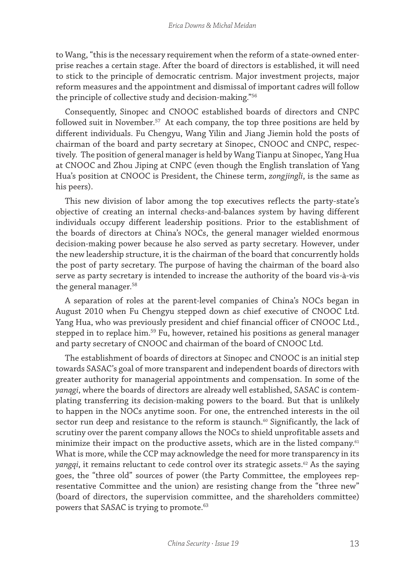to Wang, "this is the necessary requirement when the reform of a state-owned enterprise reaches a certain stage. After the board of directors is established, it will need to stick to the principle of democratic centrism. Major investment projects, major reform measures and the appointment and dismissal of important cadres will follow the principle of collective study and decision-making."56

Consequently, Sinopec and CNOOC established boards of directors and CNPC followed suit in November.<sup>57</sup> At each company, the top three positions are held by different individuals. Fu Chengyu, Wang Yilin and Jiang Jiemin hold the posts of chairman of the board and party secretary at Sinopec, CNOOC and CNPC, respectively. The position of general manager is held by Wang Tianpu at Sinopec, Yang Hua at CNOOC and Zhou Jiping at CNPC (even though the English translation of Yang Hua's position at CNOOC is President, the Chinese term, *zongjingli*, is the same as his peers).

This new division of labor among the top executives reflects the party-state's objective of creating an internal checks-and-balances system by having different individuals occupy different leadership positions. Prior to the establishment of the boards of directors at China's NOCs, the general manager wielded enormous decision-making power because he also served as party secretary. However, under the new leadership structure, it is the chairman of the board that concurrently holds the post of party secretary. The purpose of having the chairman of the board also serve as party secretary is intended to increase the authority of the board vis-à-vis the general manager.<sup>58</sup>

A separation of roles at the parent-level companies of China's NOCs began in August 2010 when Fu Chengyu stepped down as chief executive of CNOOC Ltd. Yang Hua, who was previously president and chief financial officer of CNOOC Ltd., stepped in to replace him.<sup>59</sup> Fu, however, retained his positions as general manager and party secretary of CNOOC and chairman of the board of CNOOC Ltd.

The establishment of boards of directors at Sinopec and CNOOC is an initial step towards SASAC's goal of more transparent and independent boards of directors with greater authority for managerial appointments and compensation. In some of the *yanqgi*, where the boards of directors are already well established, SASAC is contemplating transferring its decision-making powers to the board. But that is unlikely to happen in the NOCs anytime soon. For one, the entrenched interests in the oil sector run deep and resistance to the reform is staunch.<sup>60</sup> Significantly, the lack of scrutiny over the parent company allows the NOCs to shield unprofitable assets and minimize their impact on the productive assets, which are in the listed company.<sup>61</sup> What is more, while the CCP may acknowledge the need for more transparency in its *yangqi*, it remains reluctant to cede control over its strategic assets.<sup>62</sup> As the saying goes, the "three old" sources of power (the Party Committee, the employees representative Committee and the union) are resisting change from the "three new" (board of directors, the supervision committee, and the shareholders committee) powers that SASAC is trying to promote.<sup>63</sup>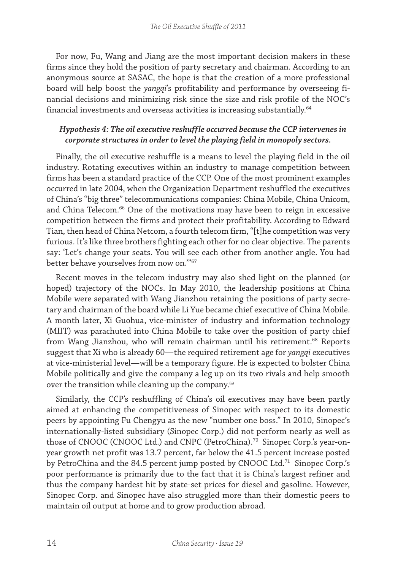For now, Fu, Wang and Jiang are the most important decision makers in these firms since they hold the position of party secretary and chairman. According to an anonymous source at SASAC, the hope is that the creation of a more professional board will help boost the *yangqi*'s profitability and performance by overseeing financial decisions and minimizing risk since the size and risk profile of the NOC's financial investments and overseas activities is increasing substantially.<sup>64</sup>

## *Hypothesis 4: The oil executive reshuffle occurred because the CCP intervenes in corporate structures in order to level the playing field in monopoly sectors.*

Finally, the oil executive reshuffle is a means to level the playing field in the oil industry. Rotating executives within an industry to manage competition between firms has been a standard practice of the CCP. One of the most prominent examples occurred in late 2004, when the Organization Department reshuffled the executives of China's "big three" telecommunications companies: China Mobile, China Unicom, and China Telecom.66 One of the motivations may have been to reign in excessive competition between the firms and protect their profitability. According to Edward Tian, then head of China Netcom, a fourth telecom firm, "[t]he competition was very furious. It's like three brothers fighting each other for no clear objective. The parents say: 'Let's change your seats. You will see each other from another angle. You had better behave yourselves from now on.'"67

Recent moves in the telecom industry may also shed light on the planned (or hoped) trajectory of the NOCs. In May 2010, the leadership positions at China Mobile were separated with Wang Jianzhou retaining the positions of party secretary and chairman of the board while Li Yue became chief executive of China Mobile. A month later, Xi Guohua, vice-minister of industry and information technology (MIIT) was parachuted into China Mobile to take over the position of party chief from Wang Jianzhou, who will remain chairman until his retirement.<sup>68</sup> Reports suggest that Xi who is already 60—the required retirement age for *yangqi* executives at vice-ministerial level—will be a temporary figure. He is expected to bolster China Mobile politically and give the company a leg up on its two rivals and help smooth over the transition while cleaning up the company.<sup>69</sup>

Similarly, the CCP's reshuffling of China's oil executives may have been partly aimed at enhancing the competitiveness of Sinopec with respect to its domestic peers by appointing Fu Chengyu as the new "number one boss." In 2010, Sinopec's internationally-listed subsidiary (Sinopec Corp.) did not perform nearly as well as those of CNOOC (CNOOC Ltd.) and CNPC (PetroChina).<sup>70</sup> Sinopec Corp.'s year-onyear growth net profit was 13.7 percent, far below the 41.5 percent increase posted by PetroChina and the 84.5 percent jump posted by CNOOC Ltd.<sup>71</sup> Sinopec Corp.'s poor performance is primarily due to the fact that it is China's largest refiner and thus the company hardest hit by state-set prices for diesel and gasoline. However, Sinopec Corp. and Sinopec have also struggled more than their domestic peers to maintain oil output at home and to grow production abroad.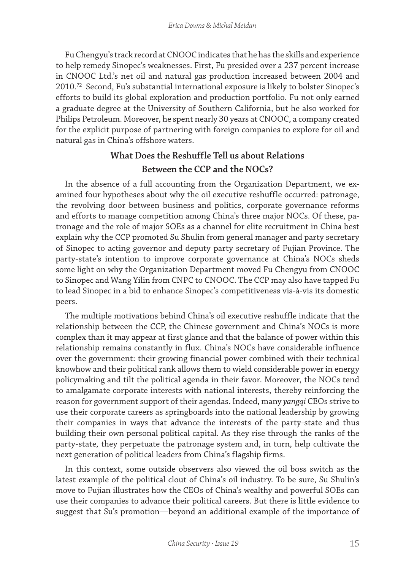Fu Chengyu's track record at CNOOC indicates that he has the skills and experience to help remedy Sinopec's weaknesses. First, Fu presided over a 237 percent increase in CNOOC Ltd.'s net oil and natural gas production increased between 2004 and 2010.72 Second, Fu's substantial international exposure is likely to bolster Sinopec's efforts to build its global exploration and production portfolio. Fu not only earned a graduate degree at the University of Southern California, but he also worked for Philips Petroleum. Moreover, he spent nearly 30 years at CNOOC, a company created for the explicit purpose of partnering with foreign companies to explore for oil and natural gas in China's offshore waters.

# **What Does the Reshuffle Tell us about Relations Between the CCP and the NOCs?**

In the absence of a full accounting from the Organization Department, we examined four hypotheses about why the oil executive reshuffle occurred: patronage, the revolving door between business and politics, corporate governance reforms and efforts to manage competition among China's three major NOCs. Of these, patronage and the role of major SOEs as a channel for elite recruitment in China best explain why the CCP promoted Su Shulin from general manager and party secretary of Sinopec to acting governor and deputy party secretary of Fujian Province. The party-state's intention to improve corporate governance at China's NOCs sheds some light on why the Organization Department moved Fu Chengyu from CNOOC to Sinopec and Wang Yilin from CNPC to CNOOC. The CCP may also have tapped Fu to lead Sinopec in a bid to enhance Sinopec's competitiveness vis-à-vis its domestic peers.

The multiple motivations behind China's oil executive reshuffle indicate that the relationship between the CCP, the Chinese government and China's NOCs is more complex than it may appear at first glance and that the balance of power within this relationship remains constantly in flux. China's NOCs have considerable influence over the government: their growing financial power combined with their technical knowhow and their political rank allows them to wield considerable power in energy policymaking and tilt the political agenda in their favor. Moreover, the NOCs tend to amalgamate corporate interests with national interests, thereby reinforcing the reason for government support of their agendas. Indeed, many *yangqi* CEOs strive to use their corporate careers as springboards into the national leadership by growing their companies in ways that advance the interests of the party-state and thus building their own personal political capital. As they rise through the ranks of the party-state, they perpetuate the patronage system and, in turn, help cultivate the next generation of political leaders from China's flagship firms.

In this context, some outside observers also viewed the oil boss switch as the latest example of the political clout of China's oil industry. To be sure, Su Shulin's move to Fujian illustrates how the CEOs of China's wealthy and powerful SOEs can use their companies to advance their political careers. But there is little evidence to suggest that Su's promotion—beyond an additional example of the importance of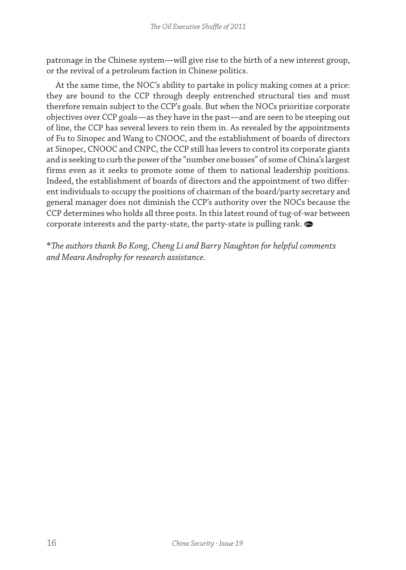patronage in the Chinese system—will give rise to the birth of a new interest group, or the revival of a petroleum faction in Chinese politics.

At the same time, the NOC's ability to partake in policy making comes at a price: they are bound to the CCP through deeply entrenched structural ties and must therefore remain subject to the CCP's goals. But when the NOCs prioritize corporate objectives over CCP goals—as they have in the past—and are seen to be steeping out of line, the CCP has several levers to rein them in. As revealed by the appointments of Fu to Sinopec and Wang to CNOOC, and the establishment of boards of directors at Sinopec, CNOOC and CNPC, the CCP still has levers to control its corporate giants and is seeking to curb the power of the "number one bosses" of some of China's largest firms even as it seeks to promote some of them to national leadership positions. Indeed, the establishment of boards of directors and the appointment of two different individuals to occupy the positions of chairman of the board/party secretary and general manager does not diminish the CCP's authority over the NOCs because the CCP determines who holds all three posts. In this latest round of tug-of-war between corporate interests and the party-state, the party-state is pulling rank.

\**The authors thank Bo Kong, Cheng Li and Barry Naughton for helpful comments and Meara Androphy for research assistance.*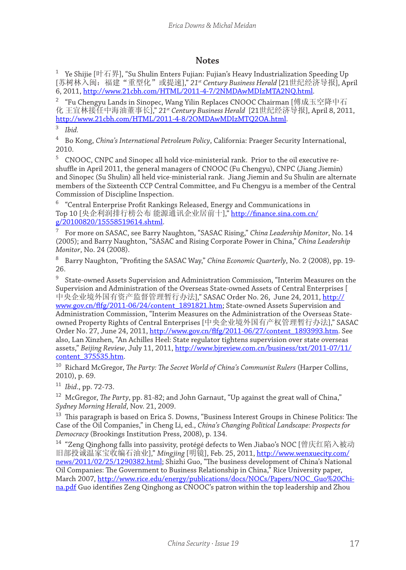#### **Notes**

 $^1$  Ye Shijie [叶石界], "Su Shulin Enters Fujian: Fujian's Heavy Industrialization Speeding Up [苏树林入闽:福建"重型化"或提速]," *21st Century Business Herald* [21世纪经济导报], April 6, 2011, http://www.21cbh.com/HTML/2011-4-7/2NMDAwMDIzMTA2NQ.html.

<sup>2</sup> "Fu Chengyu Lands in Sinopec, Wang Yilin Replaces CNOOC Chairman [傅成玉空降中石 化 王宜林接任中海油董事长]," *21st Century Business Herald* [21世纪经济导报], April 8, 2011, http://www.21cbh.com/HTML/2011-4-8/2OMDAwMDIzMTQ2OA.html.

<sup>3</sup> *Ibid.*

<sup>4</sup> Bo Kong, *China's International Petroleum Policy*, California: Praeger Security International, 2010.

<sup>5</sup> CNOOC, CNPC and Sinopec all hold vice-ministerial rank. Prior to the oil executive reshuffle in April 2011, the general managers of CNOOC (Fu Chengyu), CNPC (Jiang Jiemin) and Sinopec (Su Shulin) all held vice-ministerial rank. Jiang Jiemin and Su Shulin are alternate members of the Sixteenth CCP Central Committee, and Fu Chengyu is a member of the Central Commission of Discipline Inspection.

 $^6$   $\,$  "Central Enterprise Profit Rankings Released, Energy and Communications in Top 10 [央企利润排行榜公布 能源通讯企业居前十]," http://finance.sina.com.cn/ g/20100820/15558519614.shtml.

<sup>7</sup> For more on SASAC, see Barry Naughton, "SASAC Rising," *China Leadership Monitor*, No. 14 (2005); and Barry Naughton, "SASAC and Rising Corporate Power in China," *China Leadership Monitor*, No. 24 (2008).

<sup>8</sup> Barry Naughton, "Profiting the SASAC Way," *China Economic Quarterly*, No. 2 (2008), pp. 19- 26.

 $9$  State-owned Assets Supervision and Administration Commission, "Interim Measures on the Supervision and Administration of the Overseas State-owned Assets of Central Enterprises [ 中央企业境外国有资产监督管理暂行办法]," SASAC Order No. 26, June 24, 2011, http:// www.gov.cn/flfg/2011-06/24/content\_1891821.htm; State-owned Assets Supervision and Administration Commission, "Interim Measures on the Administration of the Overseas Stateowned Property Rights of Central Enterprises [中央企业境外国有产权管理暂行办法]," SASAC Order No. 27, June 24, 2011, http://www.gov.cn/flfg/2011-06/27/content\_1893993.htm. See also, Lan Xinzhen, "An Achilles Heel: State regulator tightens supervision over state overseas assets," *Beijing Review*, July 11, 2011, http://www.bjreview.com.cn/business/txt/2011-07/11/ content\_375535.htm.

<sup>10</sup> Richard McGregor, *The Party: The Secret World of China's Communist Rulers* (Harper Collins, 2010), p. 69.

<sup>11</sup> *Ibid*., pp. 72-73.

<sup>12</sup> McGregor, *The Party*, pp. 81-82; and John Garnaut, "Up against the great wall of China," *Sydney Morning Herald*, Nov. 21, 2009.

<sup>13</sup> This paragraph is based on Erica S. Downs, "Business Interest Groups in Chinese Politics: The Case of the Oil Companies," in Cheng Li, ed., *China's Changing Political Landscape: Prospects for Democracy* (Brookings Institution Press, 2008), p. 134.

 $^{14}$  "Zeng Qinghong falls into passivity, protégé defects to Wen Jiabao's NOC [曾庆红陷入被动 旧部投诚温家宝收编石油业]," *Mingjing* [明镜], Feb. 25, 2011, http://www.wenxuecity.com/ news/2011/02/25/1290382.html; Shizhi Guo, "The business development of China's National Oil Companies: The Government to Business Relationship in China," Rice University paper, March 2007, http://www.rice.edu/energy/publications/docs/NOCs/Papers/NOC\_Guo%20China.pdf Guo identifies Zeng Qinghong as CNOOC's patron within the top leadership and Zhou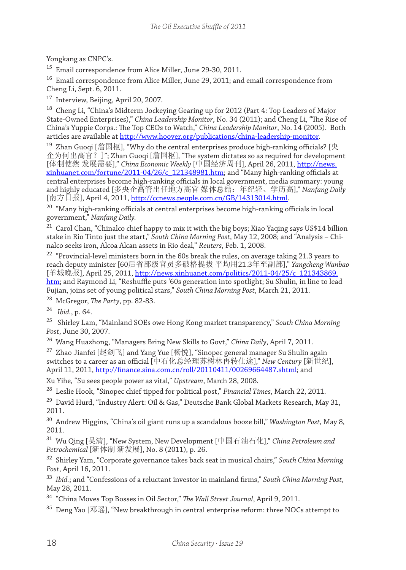Yongkang as CNPC's.

<sup>15</sup> Email correspondence from Alice Miller, June 29-30, 2011.

<sup>16</sup> Email correspondence from Alice Miller, June 29, 2011; and email correspondence from Cheng Li, Sept. 6, 2011.

<sup>17</sup> Interview, Beijing, April 20, 2007.

<sup>18</sup> Cheng Li, "China's Midterm Jockeying Gearing up for 2012 (Part 4: Top Leaders of Major State-Owned Enterprises)," *China Leadership Monitor*, No. 34 (2011); and Cheng Li, "The Rise of China's Yuppie Corps.: The Top CEOs to Watch," *China Leadership Monitor*, No. 14 (2005). Both articles are available at http://www.hoover.org/publications/china-leadership-monitor.

 $19$  Zhan Guoqi [詹国枢], "Why do the central enterprises produce high-ranking officials? [央 企为何出高官?]"; Zhan Guoqi [詹国枢], "The system dictates so as required for development [体制使然 发展需要]," *China Economic Weekly* [中国经济周刊], April 26, 2011, http://news. xinhuanet.com/fortune/2011-04/26/c\_121348981.htm; and "Many high-ranking officials at central enterprises become high-ranking officials in local government, media summary: young and highly educated [多央企高管出任地方高官 媒体总结:年纪轻、学历高]," *Nanfang Daily* [南方日报], April 4, 2011, http://ccnews.people.com.cn/GB/14313014.html.

<sup>20</sup> "Many high-ranking officials at central enterprises become high-ranking officials in local government," *Nanfang Daily.*

<sup>21</sup> Carol Chan, "Chinalco chief happy to mix it with the big boys; Xiao Yaqing says US\$14 billion stake in Rio Tinto just the start," *South China Morning Post*, May 12, 2008; and "Analysis – Chinalco seeks iron, Alcoa Alcan assets in Rio deal," *Reuters*, Feb. 1, 2008.

<sup>22</sup> "Provincial-level ministers born in the 60s break the rules, on average taking 21.3 years to reach deputy minister [60后省部级官员多破格提拔 平均用21.3年至副部]," *Yangcheng Wanbao*  [羊城晚报], April 25, 2011, http://news.xinhuanet.com/politics/2011-04/25/c\_121343869. htm; and Raymond Li, "Reshuffle puts '60s generation into spotlight; Su Shulin, in line to lead Fujian, joins set of young political stars," *South China Morning Post*, March 21, 2011.

<sup>23</sup> McGregor, *The Party*, pp. 82-83.

<sup>24</sup> *Ibid.*, p. 64.

25 Shirley Lam, "Mainland SOEs owe Hong Kong market transparency," *South China Morning Post*, June 30, 2007.

<sup>26</sup> Wang Huazhong, "Managers Bring New Skills to Govt," *China Daily*, April 7, 2011.

 $^{27}$  Zhao Jianfei [赵剑飞] and Yang Yue [杨悦], "Sinopec general manager Su Shulin again switches to a career as an official [中石化总经理苏树林再转仕途]," *New Century* [新世纪], April 11, 2011, http://finance.sina.com.cn/roll/20110411/00269664487.shtml; and

Xu Yihe, "Su sees people power as vital," *Upstream*, March 28, 2008.

<sup>28</sup> Leslie Hook, "Sinopec chief tipped for political post," *Financial Times*, March 22, 2011.

<sup>29</sup> David Hurd, "Industry Alert: Oil & Gas," Deutsche Bank Global Markets Research, May 31, 2011.

<sup>30</sup> Andrew Higgins, "China's oil giant runs up a scandalous booze bill," *Washington Post*, May 8, 2011.

<sup>31</sup> Wu Qing [吴清], "New System, New Development [中国石油石化]," *China Petroleum and Petrochemical* [新体制 新发展], No. 8 (2011), p. 26.

<sup>32</sup> Shirley Yam, "Corporate governance takes back seat in musical chairs," *South China Morning Post*, April 16, 2011.

<sup>33</sup> *Ibid.*; and "Confessions of a reluctant investor in mainland firms," *South China Morning Post*, May 28, 2011.

<sup>34</sup> "China Moves Top Bosses in Oil Sector," *The Wall Street Journal*, April 9, 2011.

<sup>35</sup> Deng Yao [邓瑶], "New breakthrough in central enterprise reform: three NOCs attempt to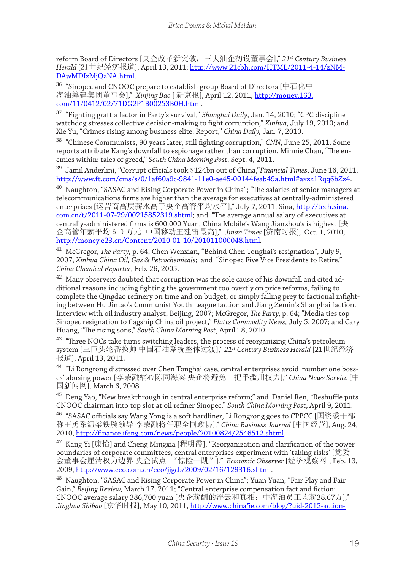reform Board of Directors [央企改革新突破:三大油企初设董事会]," *21st Century Business Herald* [21世纪经济报道], April 13, 2011; http://www.21cbh.com/HTML/2011-4-14/zNM-DAwMDIzMjQzNA.html.

<sup>36</sup> "Sinopec and CNOOC prepare to establish group Board of Directors [中石化中 海油筹建集团董事会]," *Xinjing Bao* [ 新京报], April 12, 2011, http://money.163. com/11/0412/02/71DG2P1B00253B0H.html.

<sup>37</sup> "Fighting graft a factor in Party's survival," *Shanghai Daily*, Jan. 14, 2010; "CPC discipline watchdog stresses collective decision-making to fight corruption," *Xinhua*, July 19, 2010; and Xie Yu, "Crimes rising among business elite: Report," *China Daily,* Jan. 7, 2010.

<sup>38</sup> "Chinese Communists, 90 years later, still fighting corruption," *CNN,* June 25, 2011. Some reports attribute Kang's downfall to espionage rather than corruption. Minnie Chan, "The enemies within: tales of greed," *South China Morning Post*, Sept. 4, 2011.

<sup>39</sup> Jamil Anderlini, "Corrupt officials took \$124bn out of China,"*Financial Times*, June 16, 2011, http://www.ft.com/cms/s/0/1af60a9c-9841-11e0-ae45-00144feab49a.html#axzz1Rqq6bZz4.

<sup>40</sup> Naughton, "SASAC and Rising Corporate Power in China"; "The salaries of senior managers at telecommunications firms are higher than the average for executives at centrally-administered enterprises [运营商高层薪水高于央企高管平均水平]," July 7, 2011, Sina, http://tech.sina. com.cn/t/2011-07-29/00215852319.shtml; and "The average annual salary of executives at centrally-administered firms is 600,000 Yuan, China Mobile's Wang Jianzhou's is highest [央 企高管年薪平均60万元 中国移动王建宙最高]," *Jinan Times* [济南时报]*,* Oct. 1, 2010, http://money.e23.cn/Content/2010-01-10/201011000048.html*.*

<sup>41</sup> McGregor, *The Party*, p. 64; Chen Wenxian, "Behind Chen Tonghai's resignation", July 9, 2007, *Xinhua China Oil, Gas & Petrochemicals*; and "Sinopec Five Vice Presidents to Retire," *China Chemical Reporter*, Feb. 26, 2005.

 $42$  Many observers doubted that corruption was the sole cause of his downfall and cited additional reasons including fighting the government too overtly on price reforms, failing to complete the Qingdao refinery on time and on budget, or simply falling prey to factional infighting between Hu Jintao's Communist Youth League faction and Jiang Zemin's Shanghai faction. Interview with oil industry analyst, Beijing, 2007; McGregor, *The Party,* p. 64; "Media ties top Sinopec resignation to flagship China oil project," *Platts Commodity News,* July 5, 2007; and Cary Huang, "The rising sons," *South China Morning Post*, April 18, 2010.

<sup>43</sup> "Three NOCs take turns switching leaders, the process of reorganizing China's petroleum system [三巨头轮番换帅 中国石油系统整体过渡]," *21st Century Business Herald* [21世纪经济 报道], April 13, 2011.

<sup>44</sup> "Li Rongrong distressed over Chen Tonghai case, central enterprises avoid 'number one bosses' abusing power [李荣融痛心陈同海案 央企将避免一把手滥用权力]," *China News Service* [中 国新闻网]*,* March 6, 2008.

<sup>45</sup> Deng Yao, "New breakthrough in central enterprise reform;" and Daniel Ren, "Reshuffle puts CNOOC chairman into top slot at oil refiner Sinopec," *South China Morning Post*, April 9, 2011.

 $^{46}$  "SASAC officials say Wang Yong is a soft hardliner, Li Rongrong goes to CPPCC [国资委干部 称王勇系温柔铁腕领导 李荣融将任职全国政协]," *China Business Journal* [中国经营], Aug. 24, 2010, http://finance.ifeng.com/news/people/20100824/2546512.shtml.

 $47\,$  Kang Yi [康怡] and Cheng Mingxia [程明霞], "Reorganization and clarification of the power boundaries of corporate committees, central enterprises experiment with 'taking risks' [党委 会董事会厘清权力边界 央企试点 "惊险一跳"]," *Economic Observer* [经济观察网], Feb. 13, 2009, http://www.eeo.com.cn/eeo/jjgcb/2009/02/16/129316.shtml.

<sup>48</sup> Naughton, "SASAC and Rising Corporate Power in China"; Yuan Yuan, "Fair Play and Fair Gain," *Beijing Review,* March 17, 2011; "Central enterprise compensation fact and fiction: CNOOC average salary 386,700 yuan [央企薪酬的浮云和真相:中海油员工均薪38.67万]," *Jinghua Shibao* [京华时报], May 10, 2011, http://www.china5e.com/blog/?uid-2012-action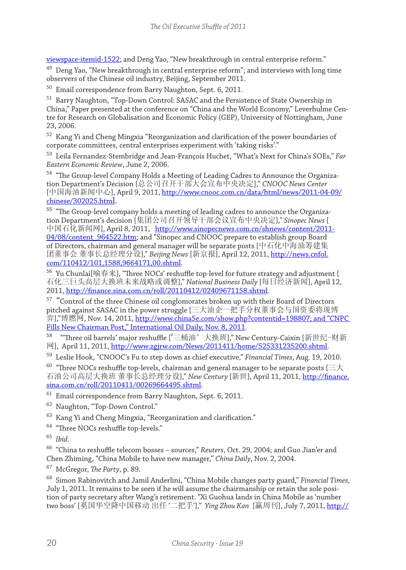viewspace-itemid-1522; and Deng Yao, "New breakthrough in central enterprise reform."

 $49$  Deng Yao, "New breakthrough in central enterprise reform"; and interviews with long time observers of the Chinese oil industry, Beijing, September 2011.<br><sup>50</sup> Email correspondence from Barry Naughton, Sept. 6, 2011.

Email correspondence from Barry Naughton, Sept. 6, 2011.

<sup>51</sup> Barry Naughton, "Top-Down Control: SASAC and the Persistence of State Ownership in China," Paper presented at the conference on "China and the World Economy," Leverhulme Centre for Research on Globalisation and Economic Policy (GEP), University of Nottingham, June 23, 2006.

<sup>52</sup> Kang Yi and Cheng Mingxia "Reorganization and clarification of the power boundaries of corporate committees, central enterprises experiment with 'taking risks'."

<sup>53</sup> Leila Fernandez-Stembridge and Jean-François Huchet, "What's Next for China's SOEs," *Far Eastern Economic Review*, June 2, 2006.

<sup>54</sup> "The Group-level Company Holds a Meeting of Leading Cadres to Announce the Organization Department's Decision [总公司召开干部大会宣布中央决定]," *CNOOC News Center*  [中国海油新闻中心], April 9, 2011, http://www.cnooc.com.cn/data/html/news/2011-04-09/ chinese/302025.html.

<sup>55</sup> "The Group-level company holds a meeting of leading cadres to announce the Organization Department's decision [集团公司召开领导干部会议宣布中央决定]," *Sinopec News* [ 中国石化新闻网], April 8, 2011, http://www.sinopecnews.com.cn/shnews/content/2011-04/08/content\_964522.htm; and "Sinopec and CNOOC prepare to establish group Board of Directors, chairman and general manager will be separate posts [中石化中海油筹建集 团董事会 董事长总经理分设]," *Beijing News* [新京报], April 12, 2011, http://news.cnfol. com/110412/101,1588,9664171,00.shtml.

<sup>56</sup> Yu Chunlai[喻春来], "Three NOCs' reshuffle top-level for future strategy and adjustment [ 石化三巨头高层大换班未来战略或调整]," *National Business Daily* [每日经济新闻], April 12, 2011, http://finance.sina.com.cn/roll/20110412/02409671158.shtml.

 $^{57}\,$  "Control of the three Chinese oil conglomorates broken up with their Board of Directors pitched against SASAC in the power struggle [三大油企一把手分权董事会与国资委将现博 弈],"博燃网, Nov. 14, 2011, http://www.china5e.com/show.php?contentid=198807; and "CNPC Fills New Chairman Post," International Oil Daily, Nov. 8, 2011.

58 "Three oil barrels' major reshuffle ['三桶油'大换班]," New Century-Caixin [新世纪-财新 网], April 11, 2011, http://www.zgjrw.com/News/2011411/home/525331235200.shtml.

<sup>59</sup> Leslie Hook, "CNOOC's Fu to step down as chief executive," *Financial Times*, Aug. 19, 2010.

 $60$  "Three NOCs reshuffle top-levels, chairman and general manager to be separate posts [三大] 石油公司高层大换班 董事长总经理分设]," *New Century* [新世], April 11, 2011, http://finance. sina.com.cn/roll/20110411/00269664495.shtml.

<sup>61</sup> Email correspondence from Barry Naughton, Sept. 6, 2011.

<sup>62</sup> Naughton, "Top-Down Control."

<sup>63</sup> Kang Yi and Cheng Mingxia, "Reorganization and clarification."

<sup>64</sup> "Three NOCs reshuffle top-levels."

<sup>65</sup> *Ibid.*

<sup>66</sup> "China to reshuffle telecom bosses – sources," *Reuters*, Oct. 29, 2004; and Guo Jian'er and Chen Zhiming, "China Mobile to have new manager," *China Daily*, Nov. 2, 2004.

<sup>67</sup> McGregor, *The Party*, p. 89.

<sup>68</sup> Simon Rabinovitch and Jamil Anderlini, "China Mobile changes party guard," *Financial Times,* July 1, 2011. It remains to be seen if he will assume the chairmanship or retain the sole position of party secretary after Wang's retirement. "Xi Guohua lands in China Mobile as 'number two boss' [奚国华空降中国移动 出任 '二把手']," *Ying Zhou Kan* [赢周刊], July 7, 2011, http://